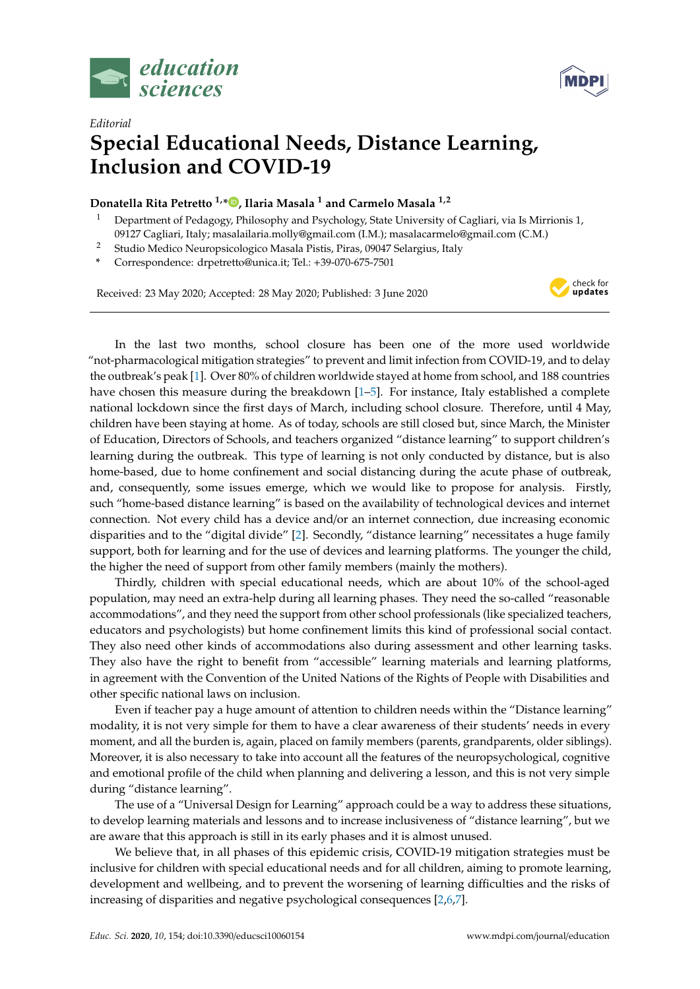



## *Editorial* **Special Educational Needs, Distance Learning, Inclusion and COVID-19**

## **Donatella Rita Petretto 1,[\\*](https://orcid.org/0000-0002-4471-7332) , Ilaria Masala <sup>1</sup> and Carmelo Masala 1,2**

- <sup>1</sup> Department of Pedagogy, Philosophy and Psychology, State University of Cagliari, via Is Mirrionis 1, 09127 Cagliari, Italy; masalailaria.molly@gmail.com (I.M.); masalacarmelo@gmail.com (C.M.)
- <sup>2</sup> Studio Medico Neuropsicologico Masala Pistis, Piras, 09047 Selargius, Italy
- **\*** Correspondence: drpetretto@unica.it; Tel.: +39-070-675-7501

Received: 23 May 2020; Accepted: 28 May 2020; Published: 3 June 2020



In the last two months, school closure has been one of the more used worldwide "not-pharmacological mitigation strategies" to prevent and limit infection from COVID-19, and to delay the outbreak's peak [\[1\]](#page-1-0). Over 80% of children worldwide stayed at home from school, and 188 countries have chosen this measure during the breakdown [\[1](#page-1-0)[–5\]](#page-1-1). For instance, Italy established a complete national lockdown since the first days of March, including school closure. Therefore, until 4 May, children have been staying at home. As of today, schools are still closed but, since March, the Minister of Education, Directors of Schools, and teachers organized "distance learning" to support children's learning during the outbreak. This type of learning is not only conducted by distance, but is also home-based, due to home confinement and social distancing during the acute phase of outbreak, and, consequently, some issues emerge, which we would like to propose for analysis. Firstly, such "home-based distance learning" is based on the availability of technological devices and internet connection. Not every child has a device and/or an internet connection, due increasing economic disparities and to the "digital divide" [\[2\]](#page-1-2). Secondly, "distance learning" necessitates a huge family support, both for learning and for the use of devices and learning platforms. The younger the child, the higher the need of support from other family members (mainly the mothers).

Thirdly, children with special educational needs, which are about 10% of the school-aged population, may need an extra-help during all learning phases. They need the so-called "reasonable accommodations", and they need the support from other school professionals (like specialized teachers, educators and psychologists) but home confinement limits this kind of professional social contact. They also need other kinds of accommodations also during assessment and other learning tasks. They also have the right to benefit from "accessible" learning materials and learning platforms, in agreement with the Convention of the United Nations of the Rights of People with Disabilities and other specific national laws on inclusion.

Even if teacher pay a huge amount of attention to children needs within the "Distance learning" modality, it is not very simple for them to have a clear awareness of their students' needs in every moment, and all the burden is, again, placed on family members (parents, grandparents, older siblings). Moreover, it is also necessary to take into account all the features of the neuropsychological, cognitive and emotional profile of the child when planning and delivering a lesson, and this is not very simple during "distance learning".

The use of a "Universal Design for Learning" approach could be a way to address these situations, to develop learning materials and lessons and to increase inclusiveness of "distance learning", but we are aware that this approach is still in its early phases and it is almost unused.

We believe that, in all phases of this epidemic crisis, COVID-19 mitigation strategies must be inclusive for children with special educational needs and for all children, aiming to promote learning, development and wellbeing, and to prevent the worsening of learning difficulties and the risks of increasing of disparities and negative psychological consequences [\[2](#page-1-2)[,6](#page-1-3)[,7\]](#page-1-4).